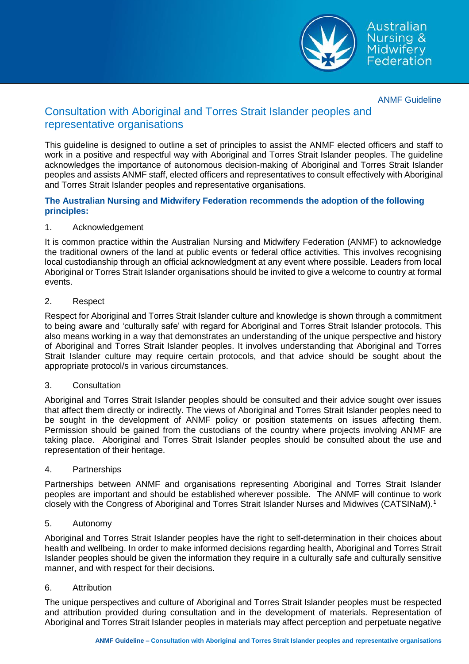

Australian Nursing & Midwifery<br>Federation

ANMF Guideline

# Consultation with Aboriginal and Torres Strait Islander peoples and representative organisations

This guideline is designed to outline a set of principles to assist the ANMF elected officers and staff to work in a positive and respectful way with Aboriginal and Torres Strait Islander peoples. The guideline acknowledges the importance of autonomous decision-making of Aboriginal and Torres Strait Islander peoples and assists ANMF staff, elected officers and representatives to consult effectively with Aboriginal and Torres Strait Islander peoples and representative organisations.

# **The Australian Nursing and Midwifery Federation recommends the adoption of the following principles:**

# 1. Acknowledgement

It is common practice within the Australian Nursing and Midwifery Federation (ANMF) to acknowledge the traditional owners of the land at public events or federal office activities. This involves recognising local custodianship through an official acknowledgment at any event where possible. Leaders from local Aboriginal or Torres Strait Islander organisations should be invited to give a welcome to country at formal events.

# 2. Respect

Respect for Aboriginal and Torres Strait Islander culture and knowledge is shown through a commitment to being aware and 'culturally safe' with regard for Aboriginal and Torres Strait Islander protocols. This also means working in a way that demonstrates an understanding of the unique perspective and history of Aboriginal and Torres Strait Islander peoples. It involves understanding that Aboriginal and Torres Strait Islander culture may require certain protocols, and that advice should be sought about the appropriate protocol/s in various circumstances.

### 3. Consultation

Aboriginal and Torres Strait Islander peoples should be consulted and their advice sought over issues that affect them directly or indirectly. The views of Aboriginal and Torres Strait Islander peoples need to be sought in the development of ANMF policy or position statements on issues affecting them. Permission should be gained from the custodians of the country where projects involving ANMF are taking place. Aboriginal and Torres Strait Islander peoples should be consulted about the use and representation of their heritage.

### 4. Partnerships

Partnerships between ANMF and organisations representing Aboriginal and Torres Strait Islander peoples are important and should be established wherever possible. The ANMF will continue to work closely with the Congress of Aboriginal and Torres Strait Islander Nurses and Midwives (CATSINaM).<sup>1</sup>

### 5. Autonomy

Aboriginal and Torres Strait Islander peoples have the right to self-determination in their choices about health and wellbeing. In order to make informed decisions regarding health, Aboriginal and Torres Strait Islander peoples should be given the information they require in a culturally safe and culturally sensitive manner, and with respect for their decisions.

### 6. Attribution

The unique perspectives and culture of Aboriginal and Torres Strait Islander peoples must be respected and attribution provided during consultation and in the development of materials. Representation of Aboriginal and Torres Strait Islander peoples in materials may affect perception and perpetuate negative